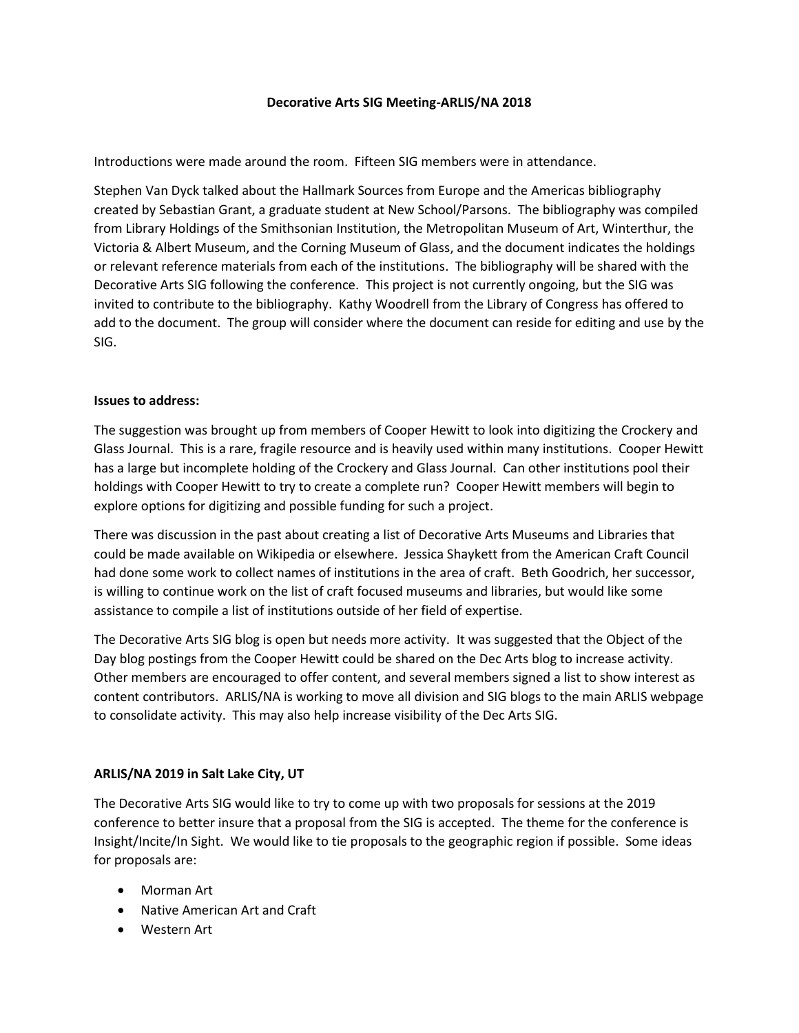## **Decorative Arts SIG Meeting-ARLIS/NA 2018**

Introductions were made around the room. Fifteen SIG members were in attendance.

Stephen Van Dyck talked about the Hallmark Sources from Europe and the Americas bibliography created by Sebastian Grant, a graduate student at New School/Parsons. The bibliography was compiled from Library Holdings of the Smithsonian Institution, the Metropolitan Museum of Art, Winterthur, the Victoria & Albert Museum, and the Corning Museum of Glass, and the document indicates the holdings or relevant reference materials from each of the institutions. The bibliography will be shared with the Decorative Arts SIG following the conference. This project is not currently ongoing, but the SIG was invited to contribute to the bibliography. Kathy Woodrell from the Library of Congress has offered to add to the document. The group will consider where the document can reside for editing and use by the SIG.

## **Issues to address:**

The suggestion was brought up from members of Cooper Hewitt to look into digitizing the Crockery and Glass Journal. This is a rare, fragile resource and is heavily used within many institutions. Cooper Hewitt has a large but incomplete holding of the Crockery and Glass Journal. Can other institutions pool their holdings with Cooper Hewitt to try to create a complete run? Cooper Hewitt members will begin to explore options for digitizing and possible funding for such a project.

There was discussion in the past about creating a list of Decorative Arts Museums and Libraries that could be made available on Wikipedia or elsewhere. Jessica Shaykett from the American Craft Council had done some work to collect names of institutions in the area of craft. Beth Goodrich, her successor, is willing to continue work on the list of craft focused museums and libraries, but would like some assistance to compile a list of institutions outside of her field of expertise.

The Decorative Arts SIG blog is open but needs more activity. It was suggested that the Object of the Day blog postings from the Cooper Hewitt could be shared on the Dec Arts blog to increase activity. Other members are encouraged to offer content, and several members signed a list to show interest as content contributors. ARLIS/NA is working to move all division and SIG blogs to the main ARLIS webpage to consolidate activity. This may also help increase visibility of the Dec Arts SIG.

## **ARLIS/NA 2019 in Salt Lake City, UT**

The Decorative Arts SIG would like to try to come up with two proposals for sessions at the 2019 conference to better insure that a proposal from the SIG is accepted. The theme for the conference is Insight/Incite/In Sight. We would like to tie proposals to the geographic region if possible. Some ideas for proposals are:

- Morman Art
- Native American Art and Craft
- Western Art